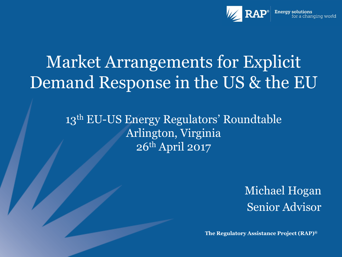

# Market Arrangements for Explicit Demand Response in the US & the EU

13<sup>th</sup> EU-US Energy Regulators' Roundtable Arlington, Virginia 26th April 2017

> Michael Hogan Senior Advisor

**The Regulatory Assistance Project (RAP)®**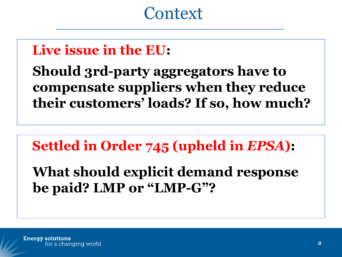#### **Context**  $\_$  . The contribution of the contribution of  $\mathcal{L}_\mathcal{A}$  ,  $\mathcal{L}_\mathcal{A}$  ,  $\mathcal{L}_\mathcal{A}$  ,  $\mathcal{L}_\mathcal{A}$  ,  $\mathcal{L}_\mathcal{A}$  ,  $\mathcal{L}_\mathcal{A}$  ,  $\mathcal{L}_\mathcal{A}$  ,  $\mathcal{L}_\mathcal{A}$  ,  $\mathcal{L}_\mathcal{A}$  ,  $\mathcal{L}_\mathcal{A}$  ,  $\mathcal{$

## **Live issue in the EU:**

**Should 3rd-party aggregators have to compensate suppliers when they reduce their customers' loads? If so, how much?**

**Settled in Order 745 (upheld in** *EPSA***):**

**What should explicit demand response be paid? LMP or "LMP-G"?**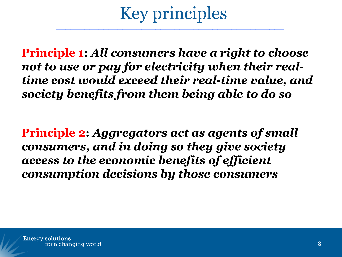## Key principles  $\overline{\phantom{a}}$  , and the contract of  $\overline{\phantom{a}}$  , and  $\overline{\phantom{a}}$  , and  $\overline{\phantom{a}}$  , and  $\overline{\phantom{a}}$  , and  $\overline{\phantom{a}}$  , and  $\overline{\phantom{a}}$  , and  $\overline{\phantom{a}}$  , and  $\overline{\phantom{a}}$  , and  $\overline{\phantom{a}}$  , and  $\overline{\phantom{a}}$  , and  $\overline{\phantom$

**Principle 1:** *All consumers have a right to choose not to use or pay for electricity when their realtime cost would exceed their real-time value, and society benefits from them being able to do so*

**Principle 2:** *Aggregators act as agents of small consumers, and in doing so they give society access to the economic benefits of efficient consumption decisions by those consumers*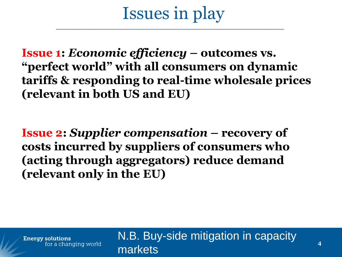#### Issues in play  $\overline{\phantom{a}}$  , which is a set of the set of the set of the set of the set of the set of the set of the set of the set of the set of the set of the set of the set of the set of the set of the set of the set of the set of th

**Issue 1:** *Economic efficiency* **– outcomes vs. "perfect world" with all consumers on dynamic tariffs & responding to real-time wholesale prices (relevant in both US and EU)**

**Issue 2:** *Supplier compensation* **– recovery of costs incurred by suppliers of consumers who (acting through aggregators) reduce demand (relevant only in the EU)**

**Energy solutions** for a changing world N.B. Buy-side mitigation in capacity markets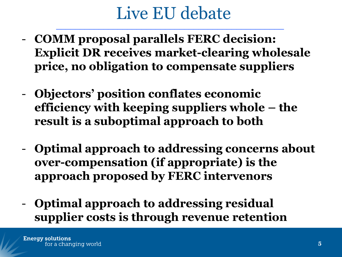## Live EU debate  $\_$  . The contribution of the contribution of  $\mathcal{L}_\mathcal{A}$  ,  $\mathcal{L}_\mathcal{A}$  ,  $\mathcal{L}_\mathcal{A}$  ,  $\mathcal{L}_\mathcal{A}$  ,  $\mathcal{L}_\mathcal{A}$  ,  $\mathcal{L}_\mathcal{A}$  ,  $\mathcal{L}_\mathcal{A}$  ,  $\mathcal{L}_\mathcal{A}$  ,  $\mathcal{L}_\mathcal{A}$  ,  $\mathcal{L}_\mathcal{A}$  ,  $\mathcal{$

- **COMM proposal parallels FERC decision: Explicit DR receives market-clearing wholesale price, no obligation to compensate suppliers**
- **Objectors' position conflates economic efficiency with keeping suppliers whole – the result is a suboptimal approach to both**
- **Optimal approach to addressing concerns about over-compensation (if appropriate) is the approach proposed by FERC intervenors**
- **Optimal approach to addressing residual supplier costs is through revenue retention**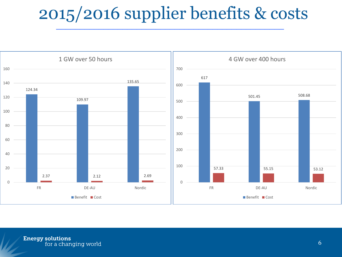#### 2015/2016 supplier benefits & costs  $\overline{\phantom{a}}$  ,  $\overline{\phantom{a}}$  ,  $\overline{\phantom{a}}$  ,  $\overline{\phantom{a}}$  ,  $\overline{\phantom{a}}$  ,  $\overline{\phantom{a}}$  ,  $\overline{\phantom{a}}$  ,  $\overline{\phantom{a}}$  ,  $\overline{\phantom{a}}$  ,  $\overline{\phantom{a}}$  ,  $\overline{\phantom{a}}$  ,  $\overline{\phantom{a}}$  ,  $\overline{\phantom{a}}$  ,  $\overline{\phantom{a}}$  ,  $\overline{\phantom{a}}$  ,  $\overline{\phantom{a}}$